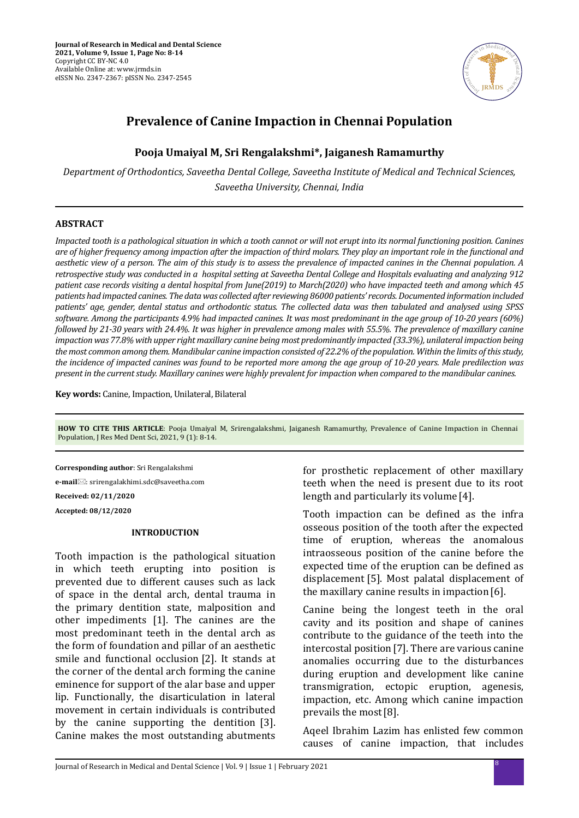

# **Prevalence of Canine Impaction in Chennai Population**

# **Pooja Umaiyal M, Sri Rengalakshmi\*, Jaiganesh Ramamurthy**

*Department of Orthodontics, Saveetha Dental College, Saveetha Institute of Medical and Technical Sciences, Saveetha University, Chennai, India*

### **ABSTRACT**

*Impacted tooth is a pathological situation in which a tooth cannot or will not erupt into its normal functioning position. Canines are of higher frequency among impaction after the impaction of third molars. They play an important role in the functional and aesthetic view of a person. The aim of this study is to assess the prevalence of impacted canines in the Chennai population. A retrospective study was conducted in a hospital setting at Saveetha Dental College and Hospitals evaluating and analyzing 912 patient case records visiting a dental hospital from June(2019) to March(2020) who have impacted teeth and among which 45 patients had impacted canines. The data was collected after reviewing 86000 patients' records. Documented information included patients' age, gender, dental status and orthodontic status. The collected data was then tabulated and analysed using SPSS software. Among the participants 4.9% had impacted canines. It was most predominant in the age group of 10-20 years (60%) followed by 21-30 years with 24.4%. It was higher in prevalence among males with 55.5%. The prevalence of maxillary canine impaction was 77.8% with upper right maxillary canine being most predominantly impacted (33.3%), unilateral impaction being the most common among them. Mandibular canine impaction consisted of 22.2% of the population. Within the limits of this study, the incidence of impacted canines was found to be reported more among the age group of 10-20 years. Male predilection was present in the current study. Maxillary canines were highly prevalent for impaction when compared to the mandibular canines.*

**Key words:** Canine, Impaction, Unilateral, Bilateral

**HOW TO CITE THIS ARTICLE**: Pooja Umaiyal M, Srirengalakshmi, Jaiganesh Ramamurthy, Prevalence of Canine Impaction in Chennai Population, J Res Med Dent Sci, 2021, 9 (1): 8-14.

**Corresponding author**: Sri Rengalakshmi **e-mail**: srirengalakhimi.sdc@saveetha.com **Received: 02/11/2020**

**Accepted: 08/12/2020**

## **INTRODUCTION**

Tooth impaction is the pathological situation in which teeth erupting into position is prevented due to different causes such as lack of space in the dental arch, dental trauma in the primary dentition state, malposition and other impediments [1]. The canines are the most predominant teeth in the dental arch as the form of foundation and pillar of an aesthetic smile and functional occlusion [2]. It stands at the corner of the dental arch forming the canine eminence for support of the alar base and upper lip. Functionally, the disarticulation in lateral movement in certain individuals is contributed by the canine supporting the dentition [3]. Canine makes the most outstanding abutments for prosthetic replacement of other maxillary teeth when the need is present due to its root length and particularly its volume [4].

Tooth impaction can be defined as the infra osseous position of the tooth after the expected time of eruption, whereas the anomalous intraosseous position of the canine before the expected time of the eruption can be defined as displacement [5]. Most palatal displacement of the maxillary canine results in impaction[6].

Canine being the longest teeth in the oral cavity and its position and shape of canines contribute to the guidance of the teeth into the intercostal position[7]. There are various canine anomalies occurring due to the disturbances during eruption and development like canine transmigration, ectopic eruption, agenesis, impaction, etc. Among which canine impaction prevails the most[8].

Aqeel Ibrahim Lazim has enlisted few common causes of canine impaction, that includes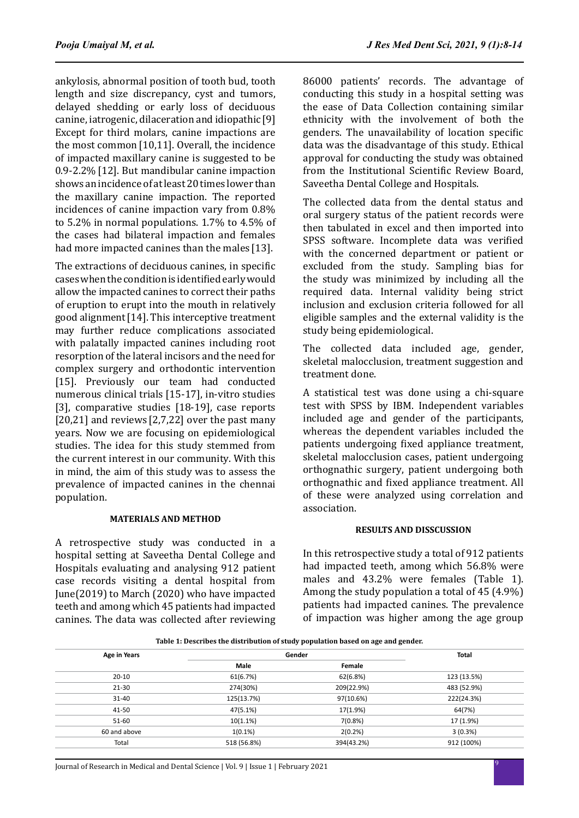ankylosis, abnormal position of tooth bud, tooth length and size discrepancy, cyst and tumors, delayed shedding or early loss of deciduous canine, iatrogenic, dilaceration and idiopathic[9] Except for third molars, canine impactions are the most common[10,11]. Overall, the incidence of impacted maxillary canine is suggested to be 0.9-2.2%[12]. But mandibular canine impaction shows an incidence of at least 20 times lower than the maxillary canine impaction. The reported incidences of canine impaction vary from 0.8% to 5.2% in normal populations. 1.7% to 4.5% of the cases had bilateral impaction and females had more impacted canines than the males [13].

The extractions of deciduous canines, in specific cases when the condition is identified early would allow the impacted canines to correct their paths of eruption to erupt into the mouth in relatively good alignment[14]. This interceptive treatment may further reduce complications associated with palatally impacted canines including root resorption of the lateral incisors and the need for complex surgery and orthodontic intervention [15]. Previously our team had conducted numerous clinical trials [15-17], in-vitro studies [3], comparative studies [18-19], case reports [20,21] and reviews [2,7,22] over the past many years. Now we are focusing on epidemiological studies. The idea for this study stemmed from the current interest in our community. With this in mind, the aim of this study was to assess the prevalence of impacted canines in the chennai population.

#### **MATERIALS AND METHOD**

A retrospective study was conducted in a hospital setting at Saveetha Dental College and Hospitals evaluating and analysing 912 patient case records visiting a dental hospital from June(2019) to March (2020) who have impacted teeth and among which 45 patients had impacted canines. The data was collected after reviewing 86000 patients' records. The advantage of conducting this study in a hospital setting was the ease of Data Collection containing similar ethnicity with the involvement of both the genders. The unavailability of location specific data was the disadvantage of this study. Ethical approval for conducting the study was obtained from the Institutional Scientific Review Board, Saveetha Dental College and Hospitals.

The collected data from the dental status and oral surgery status of the patient records were then tabulated in excel and then imported into SPSS software. Incomplete data was verified with the concerned department or patient or excluded from the study. Sampling bias for the study was minimized by including all the required data. Internal validity being strict inclusion and exclusion criteria followed for all eligible samples and the external validity is the study being epidemiological.

The collected data included age, gender, skeletal malocclusion, treatment suggestion and treatment done.

A statistical test was done using a chi-square test with SPSS by IBM. Independent variables included age and gender of the participants, whereas the dependent variables included the patients undergoing fixed appliance treatment, skeletal malocclusion cases, patient undergoing orthognathic surgery, patient undergoing both orthognathic and fixed appliance treatment. All of these were analyzed using correlation and association.

#### **RESULTS AND DISSCUSSION**

In this retrospective study a total of 912 patients had impacted teeth, among which 56.8% were males and 43.2% were females (Table 1). Among the study population a total of 45 (4.9%) patients had impacted canines. The prevalence of impaction was higher among the age group

| tuble 21 Debellioed the ulbertouten of beauty population buben on age una genuell |             |            |             |
|-----------------------------------------------------------------------------------|-------------|------------|-------------|
| <b>Age in Years</b>                                                               | Gender      |            | Total       |
|                                                                                   | Male        | Female     |             |
| $20 - 10$                                                                         | 61(6.7%)    | 62(6.8%)   | 123 (13.5%) |
| $21 - 30$                                                                         | 274(30%)    | 209(22.9%) | 483 (52.9%) |
| $31 - 40$                                                                         | 125(13.7%)  | 97(10.6%)  | 222(24.3%)  |
| 41-50                                                                             | 47(5.1%)    | 17(1.9%)   | 64(7%)      |
| $51 - 60$                                                                         | 10(1.1%)    | 7(0.8%)    | 17 (1.9%)   |
| 60 and above                                                                      | $1(0.1\%)$  | 2(0.2%)    | 3(0.3%)     |
| Total                                                                             | 518 (56.8%) | 394(43.2%) | 912 (100%)  |

**Table 1: Describes the distribution of study population based on age and gender.**

<sup>9</sup> Journal of Research in Medical and Dental Science | Vol. 9 | Issue 1 | February 2021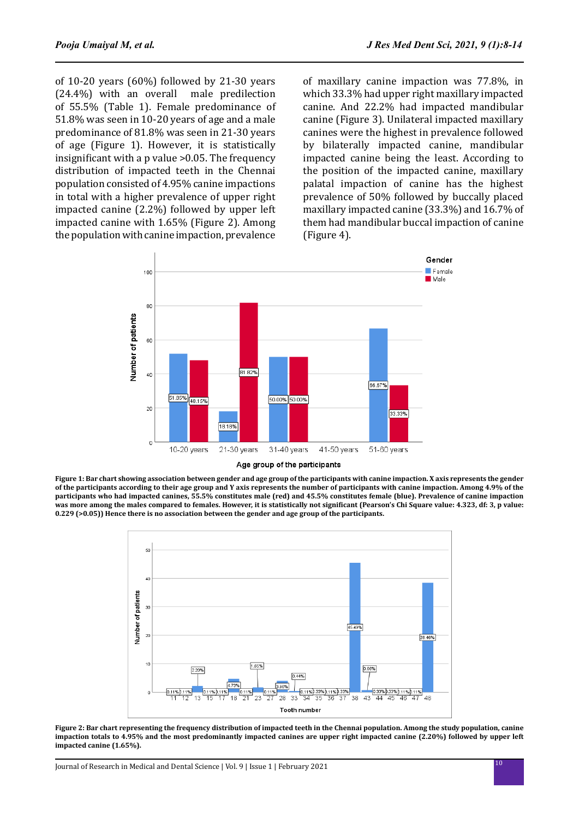of 10-20 years (60%) followed by 21-30 years (24.4%) with an overall male predilection  $(24.4\%)$  with an overall of 55.5% (Table 1). Female predominance of 51.8% was seen in 10-20 years of age and a male predominance of 81.8% was seen in 21-30 years of age (Figure 1). However, it is statistically insignificant with a p value >0.05. The frequency distribution of impacted teeth in the Chennai population consisted of 4.95% canine impactions in total with a higher prevalence of upper right impacted canine (2.2%) followed by upper left impacted canine with 1.65% (Figure 2). Among the population with canine impaction, prevalence of maxillary canine impaction was 77.8%, in which 33.3% had upper right maxillary impacted canine. And 22.2% had impacted mandibular canine (Figure 3). Unilateral impacted maxillary canines were the highest in prevalence followed by bilaterally impacted canine, mandibular impacted canine being the least. According to the position of the impacted canine, maxillary palatal impaction of canine has the highest prevalence of 50% followed by buccally placed maxillary impacted canine (33.3%) and 16.7% of them had mandibular buccal impaction of canine (Figure 4).



**Figure 1: Bar chart showing association between gender and age group of the participants with canine impaction. X axis represents the gender of the participants according to their age group and Y axis represents the number of participants with canine impaction. Among 4.9% of the participants who had impacted canines, 55.5% constitutes male (red) and 45.5% constitutes female (blue). Prevalence of canine impaction**  was more among the males compared to females. However, it is statistically not significant (Pearson's Chi Square value: 4.323, df: 3, p value: **0.229 (>0.05)) Hence there is no association between the gender and age group of the participants.** 



**Figure 2: Bar chart representing the frequency distribution of impacted teeth in the Chennai population. Among the study population, canine impaction totals to 4.95% and the most predominantly impacted canines are upper right impacted canine (2.20%) followed by upper left impacted canine (1.65%).**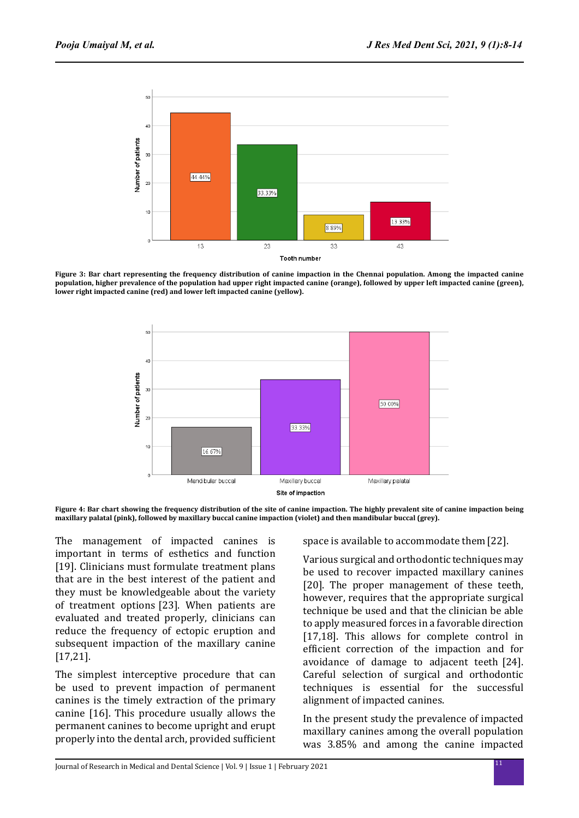

**Figure 3: Bar chart representing the frequency distribution of canine impaction in the Chennai population. Among the impacted canine population, higher prevalence of the population had upper right impacted canine (orange), followed by upper left impacted canine (green), lower right impacted canine (red) and lower left impacted canine (yellow).**



**Figure 4: Bar chart showing the frequency distribution of the site of canine impaction. The highly prevalent site of canine impaction being maxillary palatal (pink), followed by maxillary buccal canine impaction (violet) and then mandibular buccal (grey).**

The management of impacted canines is important in terms of esthetics and function [19]. Clinicians must formulate treatment plans that are in the best interest of the patient and they must be knowledgeable about the variety of treatment options [23]. When patients are evaluated and treated properly, clinicians can reduce the frequency of ectopic eruption and subsequent impaction of the maxillary canine [17,21].

The simplest interceptive procedure that can be used to prevent impaction of permanent canines is the timely extraction of the primary canine [16]. This procedure usually allows the permanent canines to become upright and erupt properly into the dental arch, provided sufficient space is available to accommodate them[22].

Various surgical and orthodontic techniques may be used to recover impacted maxillary canines [20]. The proper management of these teeth, however, requires that the appropriate surgical technique be used and that the clinician be able to apply measured forces in a favorable direction [17,18]. This allows for complete control in efficient correction of the impaction and for avoidance of damage to adjacent teeth [24]. Careful selection of surgical and orthodontic techniques is essential for the successful alignment of impacted canines.

In the present study the prevalence of impacted maxillary canines among the overall population was 3.85% and among the canine impacted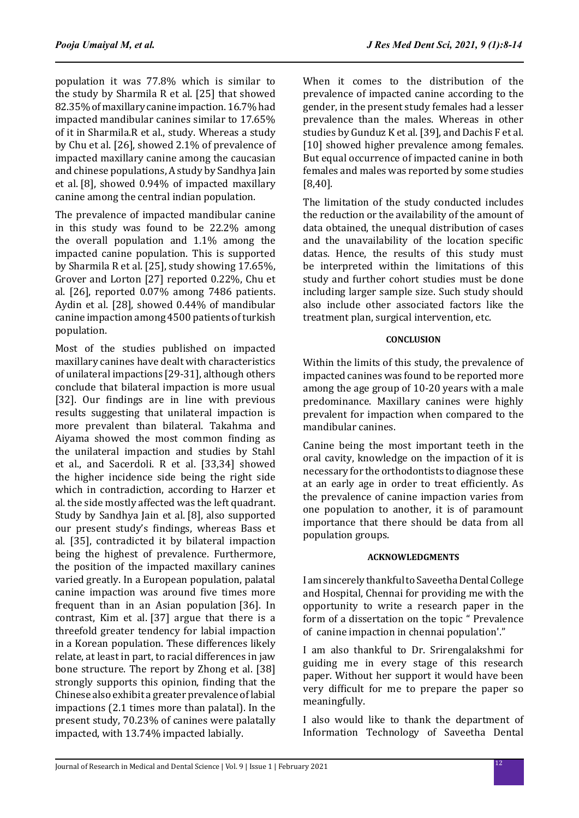population it was 77.8% which is similar to the study by Sharmila R et al. [25] that showed 82.35% of maxillary canine impaction. 16.7% had impacted mandibular canines similar to 17.65% of it in Sharmila.R et al., study. Whereas a study by Chu et al. [26], showed 2.1% of prevalence of impacted maxillary canine among the caucasian and chinese populations, A study by Sandhya Jain et al. [8], showed 0.94% of impacted maxillary canine among the central indian population.

The prevalence of impacted mandibular canine in this study was found to be 22.2% among the overall population and 1.1% among the impacted canine population. This is supported by Sharmila R et al. [25], study showing 17.65%, Grover and Lorton [27] reported 0.22%, Chu et al. [26], reported 0.07% among 7486 patients. Aydin et al. [28], showed 0.44% of mandibular canine impaction among 4500 patients of turkish population.

Most of the studies published on impacted maxillary canines have dealt with characteristics of unilateral impactions [29-31], although others conclude that bilateral impaction is more usual [32]. Our findings are in line with previous results suggesting that unilateral impaction is more prevalent than bilateral. Takahma and Aiyama showed the most common finding as the unilateral impaction and studies by Stahl et al., and Sacerdoli. R et al. [33,34] showed the higher incidence side being the right side which in contradiction, according to Harzer et al. the side mostly affected was the left quadrant. Study by Sandhya Jain et al. [8], also supported our present study's findings, whereas Bass et al. [35], contradicted it by bilateral impaction being the highest of prevalence. Furthermore, the position of the impacted maxillary canines varied greatly. In a European population, palatal canine impaction was around five times more frequent than in an Asian population [36]. In contrast, Kim et al. [37] argue that there is a threefold greater tendency for labial impaction in a Korean population. These differences likely relate, at least in part, to racial differences in jaw bone structure. The report by Zhong et al. [38] strongly supports this opinion, finding that the Chinese also exhibit a greater prevalence of labial impactions (2.1 times more than palatal). In the present study, 70.23% of canines were palatally impacted, with 13.74% impacted labially.

When it comes to the distribution of the prevalence of impacted canine according to the gender, in the present study females had a lesser prevalence than the males. Whereas in other studies by Gunduz K et al. [39], and Dachis F et al. [10] showed higher prevalence among females. But equal occurrence of impacted canine in both females and males was reported by some studies [8,40].

The limitation of the study conducted includes the reduction or the availability of the amount of data obtained, the unequal distribution of cases and the unavailability of the location specific datas. Hence, the results of this study must be interpreted within the limitations of this study and further cohort studies must be done including larger sample size. Such study should also include other associated factors like the treatment plan, surgical intervention, etc.

# **CONCLUSION**

Within the limits of this study, the prevalence of impacted canines was found to be reported more among the age group of 10-20 years with a male predominance. Maxillary canines were highly prevalent for impaction when compared to the mandibular canines.

Canine being the most important teeth in the oral cavity, knowledge on the impaction of it is necessary for the orthodontists to diagnose these at an early age in order to treat efficiently. As the prevalence of canine impaction varies from one population to another, it is of paramount importance that there should be data from all population groups.

# **ACKNOWLEDGMENTS**

I am sincerely thankful to Saveetha Dental College and Hospital, Chennai for providing me with the opportunity to write a research paper in the form of a dissertation on the topic " Prevalence of canine impaction in chennai population'."

I am also thankful to Dr. Srirengalakshmi for guiding me in every stage of this research paper. Without her support it would have been very difficult for me to prepare the paper so meaningfully.

I also would like to thank the department of Information Technology of Saveetha Dental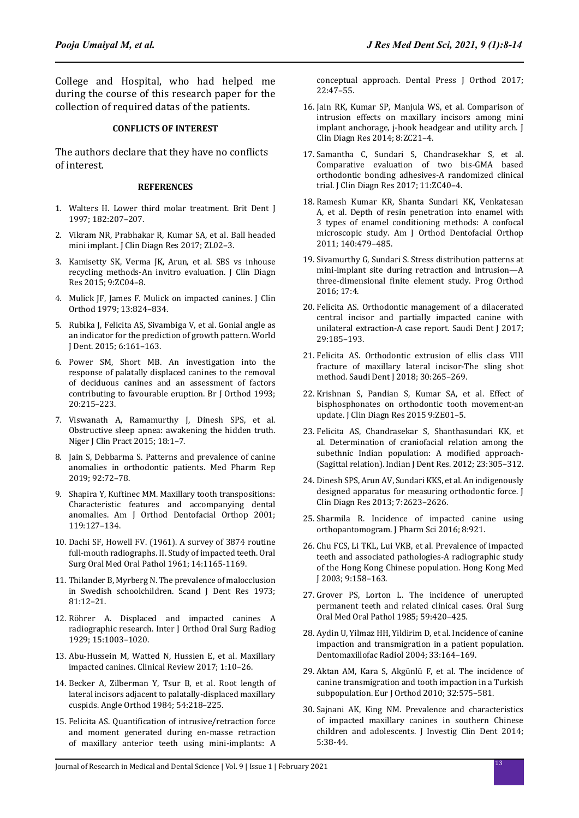College and Hospital, who had helped me during the course of this research paper for the collection of required datas of the patients.

#### **CONFLICTS OF INTEREST**

The authors declare that they have no conflicts of interest.

#### **REFERENCES**

- 1. Walters H. Lower third molar treatment. Brit Dent J 1997; 182:207–207.
- 2. Vikram NR, Prabhakar R, Kumar SA, et al. Ball headed mini implant. J Clin Diagn Res 2017; ZL02–3.
- 3. Kamisetty SK, Verma JK, Arun, et al. SBS vs inhouse recycling methods-An invitro evaluation. J Clin Diagn Res 2015; 9:ZC04–8.
- 4. Mulick JF, James F. Mulick on impacted canines. J Clin Orthod 1979; 13:824–834.
- 5. Rubika J, Felicita AS, Sivambiga V, et al. Gonial angle as an indicator for the prediction of growth pattern. World J Dent. 2015; 6:161–163.
- 6. Power SM, Short MB. An investigation into the response of palatally displaced canines to the removal of deciduous canines and an assessment of factors contributing to favourable eruption. Br J Orthod 1993; 20:215–223.
- 7. Viswanath A, Ramamurthy J, Dinesh SPS, et al. Obstructive sleep apnea: awakening the hidden truth. Niger J Clin Pract 2015; 18:1–7.
- 8. Jain S, Debbarma S. Patterns and prevalence of canine anomalies in orthodontic patients. Med Pharm Rep 2019; 92:72–78.
- 9. Shapira Y, Kuftinec MM. Maxillary tooth transpositions: Characteristic features and accompanying dental anomalies. Am J Orthod Dentofacial Orthop 2001; 119:127–134.
- 10. Dachi SF, Howell FV. (1961). A survey of 3874 routine full-mouth radiographs. II. Study of impacted teeth. Oral Surg Oral Med Oral Pathol 1961; 14:1165-1169.
- 11. Thilander B, Myrberg N. The prevalence of malocclusion in Swedish schoolchildren. Scand J Dent Res 1973: 81:12–21.
- 12. Röhrer A. Displaced and impacted canines A radiographic research. Inter J Orthod Oral Surg Radiog 1929; 15:1003–1020.
- 13. Abu-Hussein M, Watted N, Hussien E, et al. Maxillary impacted canines. Clinical Review 2017; 1:10–26.
- 14. Becker A, Zilberman Y, Tsur B, et al. Root length of lateral incisors adjacent to palatally-displaced maxillary cuspids. Angle Orthod 1984; 54:218–225.
- 15. Felicita AS. Quantification of intrusive/retraction force and moment generated during en-masse retraction of maxillary anterior teeth using mini-implants: A

conceptual approach. Dental Press J Orthod 2017; 22:47–55.

- 16. Jain RK, Kumar SP, Manjula WS, et al. Comparison of intrusion effects on maxillary incisors among mini implant anchorage, j-hook headgear and utility arch. J Clin Diagn Res 2014; 8:ZC21–4.
- 17. Samantha C, Sundari S, Chandrasekhar S, et al. Comparative evaluation of two bis-GMA based orthodontic bonding adhesives-A randomized clinical trial. J Clin Diagn Res 2017; 11:ZC40–4.
- 18. Ramesh Kumar KR, Shanta Sundari KK, Venkatesan A, et al. Depth of resin penetration into enamel with 3 types of enamel conditioning methods: A confocal microscopic study. Am J Orthod Dentofacial Orthop 2011; 140:479–485.
- 19. Sivamurthy G, Sundari S. Stress distribution patterns at mini-implant site during retraction and intrusion—A three-dimensional finite element study. Prog Orthod 2016; 17:4.
- 20. Felicita AS. Orthodontic management of a dilacerated central incisor and partially impacted canine with unilateral extraction-A case report. Saudi Dent J 2017; 29:185–193.
- 21. Felicita AS. Orthodontic extrusion of ellis class VIII fracture of maxillary lateral incisor-The sling shot method. Saudi Dent J 2018; 30:265–269.
- 22. Krishnan S, Pandian S, Kumar SA, et al. Effect of bisphosphonates on orthodontic tooth movement-an update. J Clin Diagn Res 2015 9:ZE01–5.
- 23. Felicita AS, Chandrasekar S, Shanthasundari KK, et al. Determination of craniofacial relation among the subethnic Indian population: A modified approach- (Sagittal relation). Indian J Dent Res. 2012; 23:305–312.
- 24. Dinesh SPS, Arun AV, Sundari KKS, et al. An indigenously designed apparatus for measuring orthodontic force. J Clin Diagn Res 2013; 7:2623–2626.
- 25. Sharmila R. Incidence of impacted canine using orthopantomogram. J Pharm Sci 2016; 8:921.
- 26. Chu FCS, Li TKL, Lui VKB, et al. Prevalence of impacted teeth and associated pathologies-A radiographic study of the Hong Kong Chinese population. Hong Kong Med J 2003; 9:158–163.
- 27. Grover PS, Lorton L. The incidence of unerupted permanent teeth and related clinical cases. Oral Surg Oral Med Oral Pathol 1985; 59:420–425.
- 28. Aydin U, Yilmaz HH, Yildirim D, et al. Incidence of canine impaction and transmigration in a patient population. Dentomaxillofac Radiol 2004; 33:164–169.
- 29. Aktan AM, Kara S, Akgünlü F, et al. The incidence of canine transmigration and tooth impaction in a Turkish subpopulation. Eur J Orthod 2010; 32:575–581.
- 30. Sajnani AK, King NM. Prevalence and characteristics of impacted maxillary canines in southern Chinese children and adolescents. J Investig Clin Dent 2014; 5:38-44.